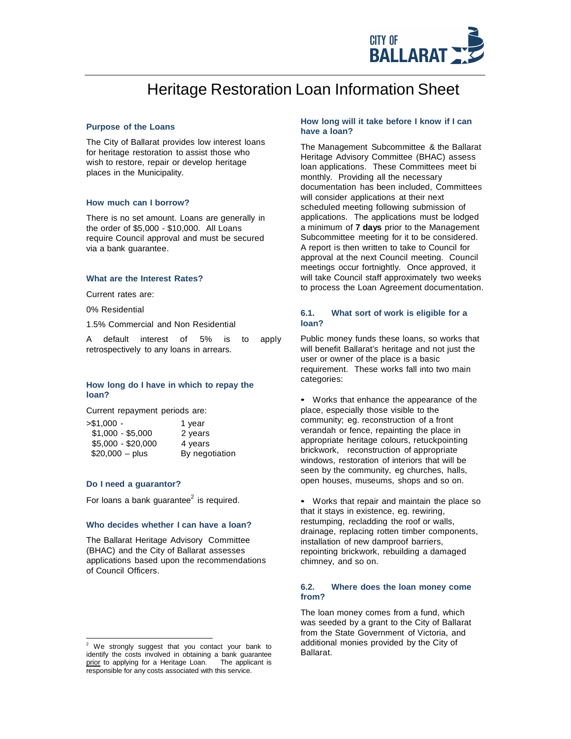

# Heritage Restoration Loan Information Sheet

#### **Purpose of the Loans**

The City of Ballarat provides low interest loans for heritage restoration to assist those who wish to restore, repair or develop heritage places in the Municipality.

## **How much can I borrow?**

There is no set amount. Loans are generally in the order of \$5,000 - \$10,000. All Loans require Council approval and must be secured via a bank guarantee.

#### **What are the Interest Rates?**

Current rates are:

0% Residential

1.5% Commercial and Non Residential

A default interest of 5% is to apply retrospectively to any loans in arrears.

# **How long do I have in which to repay the loan?**

Current repayment periods are:

| - 51,000 -         | 1 year         |
|--------------------|----------------|
| $$1,000 - $5,000$  | 2 years        |
| $$5,000 - $20,000$ | 4 years        |
| $$20,000 - plus$   | By negotiation |

## **Do I need a guarantor?**

For loans a bank quarantee<sup>2</sup> is required.

## **Who decides whether I can have a loan?**

The Ballarat Heritage Advisory Committee (BHAC) and the City of Ballarat assesses applications based upon the recommendations of Council Officers.

## **How long will it take before I know if I can have a loan?**

The Management Subcommittee & the Ballarat Heritage Advisory Committee (BHAC) assess loan applications. These Committees meet bi monthly. Providing all the necessary documentation has been included, Committees will consider applications at their next scheduled meeting following submission of applications. The applications must be lodged a minimum of **7 days** prior to the Management Subcommittee meeting for it to be considered. A report is then written to take to Council for approval at the next Council meeting. Council meetings occur fortnightly. Once approved, it will take Council staff approximately two weeks to process the Loan Agreement documentation.

## **6.1. What sort of work is eligible for a loan?**

Public money funds these loans, so works that will benefit Ballarat's heritage and not just the user or owner of the place is a basic requirement. These works fall into two main categories:

• Works that enhance the appearance of the place, especially those visible to the community; eg. reconstruction of a front verandah or fence, repainting the place in appropriate heritage colours, retuckpointing brickwork, reconstruction of appropriate windows, restoration of interiors that will be seen by the community, eg churches, halls, open houses, museums, shops and so on.

• Works that repair and maintain the place so that it stays in existence, eg. rewiring, restumping, recladding the roof or walls, drainage, replacing rotten timber components, installation of new damproof barriers, repointing brickwork, rebuilding a damaged chimney, and so on.

## **6.2. Where does the loan money come from?**

The loan money comes from a fund, which was seeded by a grant to the City of Ballarat from the State Government of Victoria, and additional monies provided by the City of Ballarat.

<sup>&</sup>lt;sup>2</sup> We strongly suggest that you contact your bank to identify the costs involved in obtaining a bank guarantee prior to applying for a Heritage Loan. The applicant is prior to applying for a Heritage Loan. responsible for any costs associated with this service.